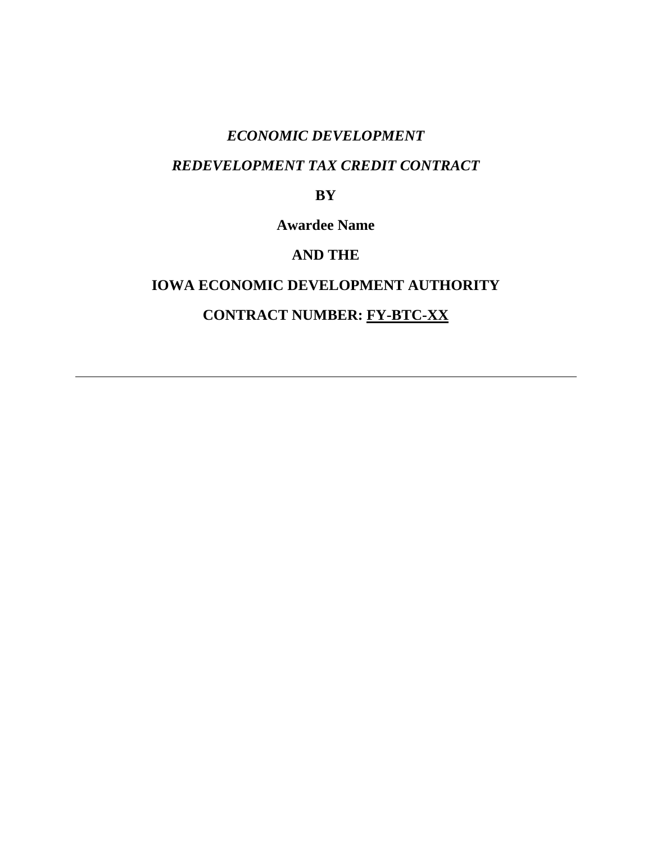# *ECONOMIC DEVELOPMENT*

# *REDEVELOPMENT TAX CREDIT CONTRACT*

# **BY**

**Awardee Name** 

# **AND THE**

# **IOWA ECONOMIC DEVELOPMENT AUTHORITY CONTRACT NUMBER: FY-BTC-XX**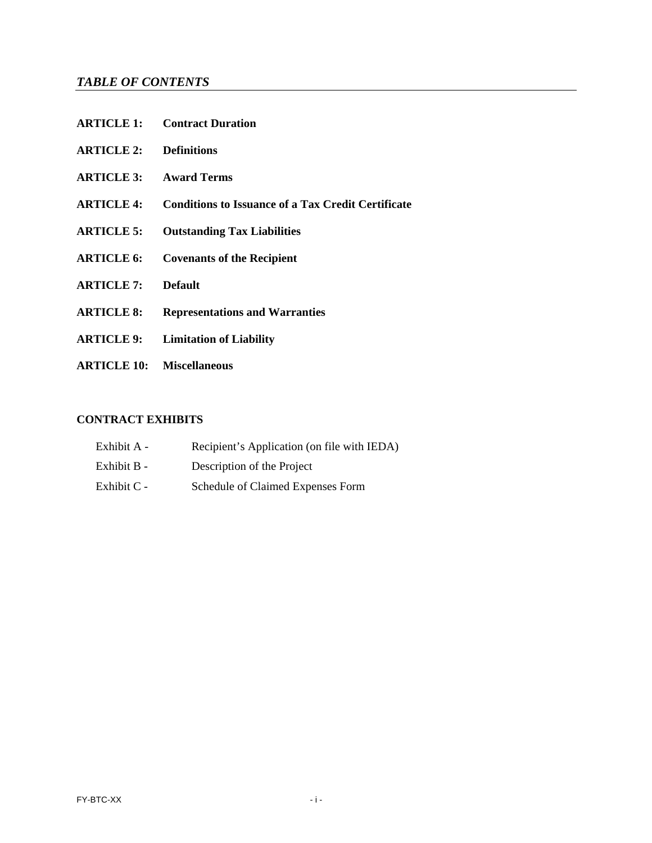# *TABLE OF CONTENTS*

|                                  | <b>ARTICLE 1:</b> Contract Duration                       |
|----------------------------------|-----------------------------------------------------------|
| <b>ARTICLE 2: Definitions</b>    |                                                           |
| <b>ARTICLE 3: Award Terms</b>    |                                                           |
| <b>ARTICLE 4:</b>                | <b>Conditions to Issuance of a Tax Credit Certificate</b> |
| <b>ARTICLE 5:</b>                | <b>Outstanding Tax Liabilities</b>                        |
| <b>ARTICLE 6:</b>                | <b>Covenants of the Recipient</b>                         |
| <b>ARTICLE 7:</b>                | <b>Default</b>                                            |
| <b>ARTICLE 8:</b>                | <b>Representations and Warranties</b>                     |
| <b>ARTICLE 9:</b>                | <b>Limitation of Liability</b>                            |
| <b>ARTICLE 10: Miscellaneous</b> |                                                           |

### **CONTRACT EXHIBITS**

| Exhibit A - | Recipient's Application (on file with IEDA) |
|-------------|---------------------------------------------|
| Exhibit B - | Description of the Project                  |
| Exhibit C - | Schedule of Claimed Expenses Form           |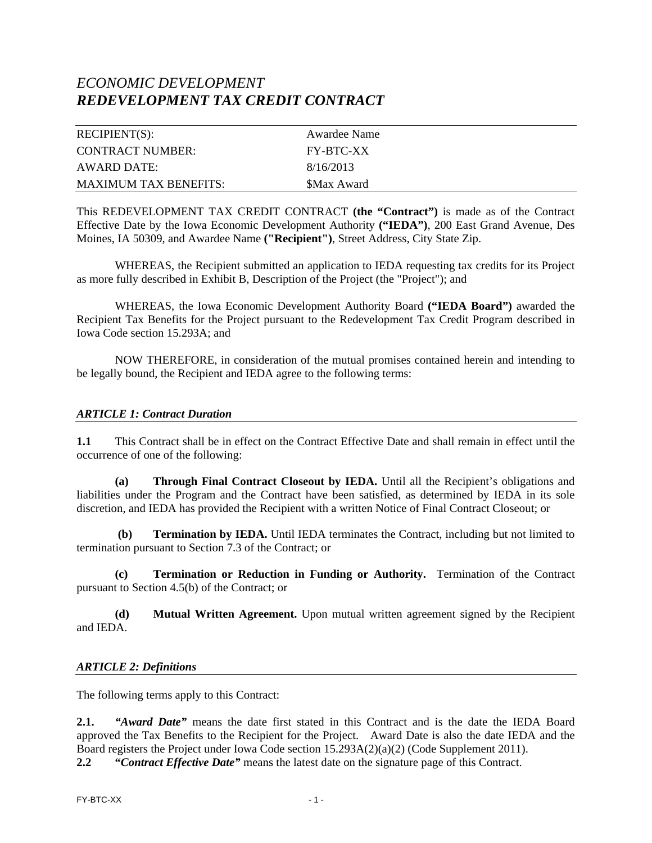# *ECONOMIC DEVELOPMENT REDEVELOPMENT TAX CREDIT CONTRACT*

| RECIPIENT(S):                | Awardee Name     |
|------------------------------|------------------|
| CONTRACT NUMBER:             | <b>FY-BTC-XX</b> |
| AWARD DATE:                  | 8/16/2013        |
| <b>MAXIMUM TAX BENEFITS:</b> | \$Max Award      |

This REDEVELOPMENT TAX CREDIT CONTRACT **(the "Contract")** is made as of the Contract Effective Date by the Iowa Economic Development Authority **("IEDA")**, 200 East Grand Avenue, Des Moines, IA 50309, and Awardee Name **("Recipient")**, Street Address, City State Zip.

WHEREAS, the Recipient submitted an application to IEDA requesting tax credits for its Project as more fully described in Exhibit B, Description of the Project (the "Project"); and

WHEREAS, the Iowa Economic Development Authority Board **("IEDA Board")** awarded the Recipient Tax Benefits for the Project pursuant to the Redevelopment Tax Credit Program described in Iowa Code section 15.293A; and

NOW THEREFORE, in consideration of the mutual promises contained herein and intending to be legally bound, the Recipient and IEDA agree to the following terms:

#### *ARTICLE 1: Contract Duration*

**1.1** This Contract shall be in effect on the Contract Effective Date and shall remain in effect until the occurrence of one of the following:

**(a) Through Final Contract Closeout by IEDA.** Until all the Recipient's obligations and liabilities under the Program and the Contract have been satisfied, as determined by IEDA in its sole discretion, and IEDA has provided the Recipient with a written Notice of Final Contract Closeout; or

**Termination by IEDA.** Until IEDA terminates the Contract, including but not limited to termination pursuant to Section 7.3 of the Contract; or

**(c) Termination or Reduction in Funding or Authority.** Termination of the Contract pursuant to Section 4.5(b) of the Contract; or

**(d) Mutual Written Agreement.** Upon mutual written agreement signed by the Recipient and IEDA.

#### *ARTICLE 2: Definitions*

The following terms apply to this Contract:

**2.1.** *"Award Date"* means the date first stated in this Contract and is the date the IEDA Board approved the Tax Benefits to the Recipient for the Project. Award Date is also the date IEDA and the Board registers the Project under Iowa Code section 15.293A(2)(a)(2) (Code Supplement 2011).

**2.2 "***Contract Effective Date"* means the latest date on the signature page of this Contract.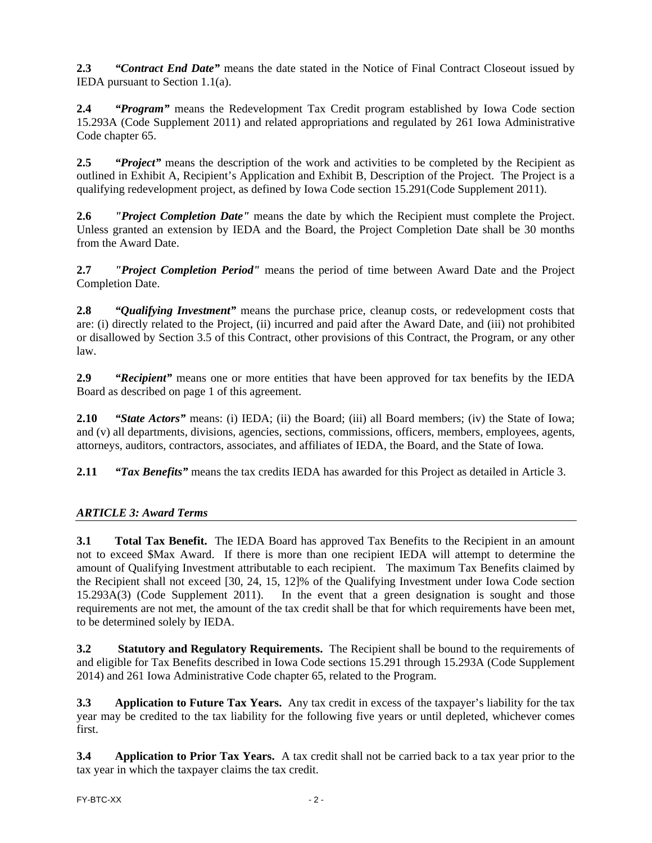**2.3** *"Contract End Date"* means the date stated in the Notice of Final Contract Closeout issued by IEDA pursuant to Section 1.1(a).

**2.4** *"Program"* means the Redevelopment Tax Credit program established by Iowa Code section 15.293A (Code Supplement 2011) and related appropriations and regulated by 261 Iowa Administrative Code chapter 65.

**2.5** *"Project"* means the description of the work and activities to be completed by the Recipient as outlined in Exhibit A, Recipient's Application and Exhibit B, Description of the Project. The Project is a qualifying redevelopment project, as defined by Iowa Code section 15.291(Code Supplement 2011).

**2.6** *"Project Completion Date"* means the date by which the Recipient must complete the Project. Unless granted an extension by IEDA and the Board, the Project Completion Date shall be 30 months from the Award Date.

**2.7** *"Project Completion Period"* means the period of time between Award Date and the Project Completion Date.

**2.8** *"Qualifying Investment"* means the purchase price, cleanup costs, or redevelopment costs that are: (i) directly related to the Project, (ii) incurred and paid after the Award Date, and (iii) not prohibited or disallowed by Section 3.5 of this Contract, other provisions of this Contract, the Program, or any other law.

**2.9** *"Recipient"* means one or more entities that have been approved for tax benefits by the IEDA Board as described on page 1 of this agreement.

**2.10** *"State Actors"* means: (i) IEDA; (ii) the Board; (iii) all Board members; (iv) the State of Iowa; and (v) all departments, divisions, agencies, sections, commissions, officers, members, employees, agents, attorneys, auditors, contractors, associates, and affiliates of IEDA, the Board, and the State of Iowa.

**2.11** *"Tax Benefits"* means the tax credits IEDA has awarded for this Project as detailed in Article 3.

## *ARTICLE 3: Award Terms*

**3.1 Total Tax Benefit.** The IEDA Board has approved Tax Benefits to the Recipient in an amount not to exceed \$Max Award. If there is more than one recipient IEDA will attempt to determine the amount of Qualifying Investment attributable to each recipient. The maximum Tax Benefits claimed by the Recipient shall not exceed [30, 24, 15, 12]% of the Qualifying Investment under Iowa Code section 15.293A(3) (Code Supplement 2011). In the event that a green designation is sought and those requirements are not met, the amount of the tax credit shall be that for which requirements have been met, to be determined solely by IEDA.

**3.2 Statutory and Regulatory Requirements.** The Recipient shall be bound to the requirements of and eligible for Tax Benefits described in Iowa Code sections 15.291 through 15.293A (Code Supplement 2014) and 261 Iowa Administrative Code chapter 65, related to the Program.

**3.3 Application to Future Tax Years.** Any tax credit in excess of the taxpayer's liability for the tax year may be credited to the tax liability for the following five years or until depleted, whichever comes first.

**3.4 Application to Prior Tax Years.** A tax credit shall not be carried back to a tax year prior to the tax year in which the taxpayer claims the tax credit.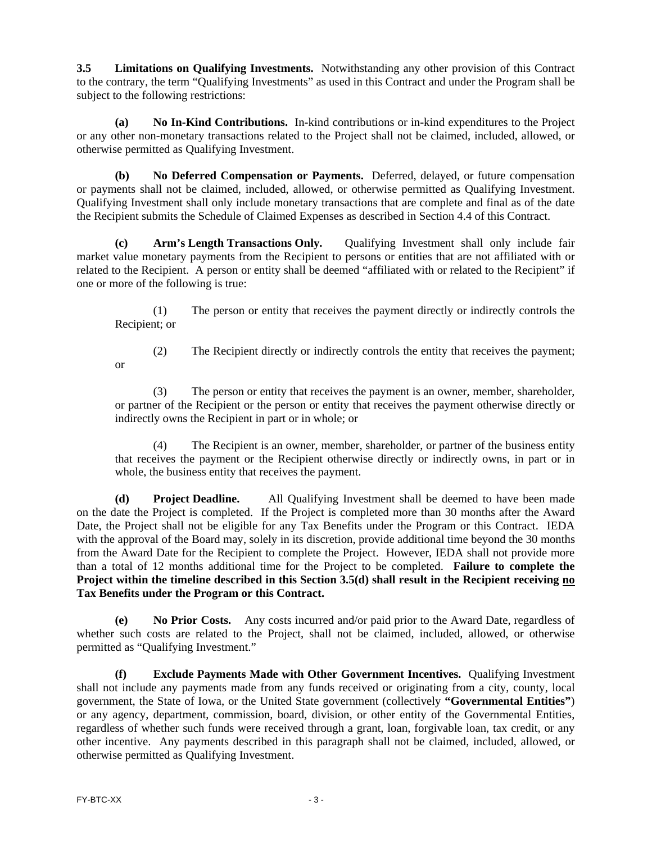**3.5 Limitations on Qualifying Investments.** Notwithstanding any other provision of this Contract to the contrary, the term "Qualifying Investments" as used in this Contract and under the Program shall be subject to the following restrictions:

**(a) No In-Kind Contributions.** In-kind contributions or in-kind expenditures to the Project or any other non-monetary transactions related to the Project shall not be claimed, included, allowed, or otherwise permitted as Qualifying Investment.

**(b) No Deferred Compensation or Payments.** Deferred, delayed, or future compensation or payments shall not be claimed, included, allowed, or otherwise permitted as Qualifying Investment. Qualifying Investment shall only include monetary transactions that are complete and final as of the date the Recipient submits the Schedule of Claimed Expenses as described in Section 4.4 of this Contract.

**(c) Arm's Length Transactions Only.** Qualifying Investment shall only include fair market value monetary payments from the Recipient to persons or entities that are not affiliated with or related to the Recipient. A person or entity shall be deemed "affiliated with or related to the Recipient" if one or more of the following is true:

(1) The person or entity that receives the payment directly or indirectly controls the Recipient; or

or

(2) The Recipient directly or indirectly controls the entity that receives the payment;

(3) The person or entity that receives the payment is an owner, member, shareholder, or partner of the Recipient or the person or entity that receives the payment otherwise directly or indirectly owns the Recipient in part or in whole; or

(4) The Recipient is an owner, member, shareholder, or partner of the business entity that receives the payment or the Recipient otherwise directly or indirectly owns, in part or in whole, the business entity that receives the payment.

**(d) Project Deadline.** All Qualifying Investment shall be deemed to have been made on the date the Project is completed. If the Project is completed more than 30 months after the Award Date, the Project shall not be eligible for any Tax Benefits under the Program or this Contract. IEDA with the approval of the Board may, solely in its discretion, provide additional time beyond the 30 months from the Award Date for the Recipient to complete the Project. However, IEDA shall not provide more than a total of 12 months additional time for the Project to be completed. **Failure to complete the Project within the timeline described in this Section 3.5(d) shall result in the Recipient receiving no Tax Benefits under the Program or this Contract.** 

**(e) No Prior Costs.** Any costs incurred and/or paid prior to the Award Date, regardless of whether such costs are related to the Project, shall not be claimed, included, allowed, or otherwise permitted as "Qualifying Investment."

**(f) Exclude Payments Made with Other Government Incentives.** Qualifying Investment shall not include any payments made from any funds received or originating from a city, county, local government, the State of Iowa, or the United State government (collectively **"Governmental Entities"**) or any agency, department, commission, board, division, or other entity of the Governmental Entities, regardless of whether such funds were received through a grant, loan, forgivable loan, tax credit, or any other incentive. Any payments described in this paragraph shall not be claimed, included, allowed, or otherwise permitted as Qualifying Investment.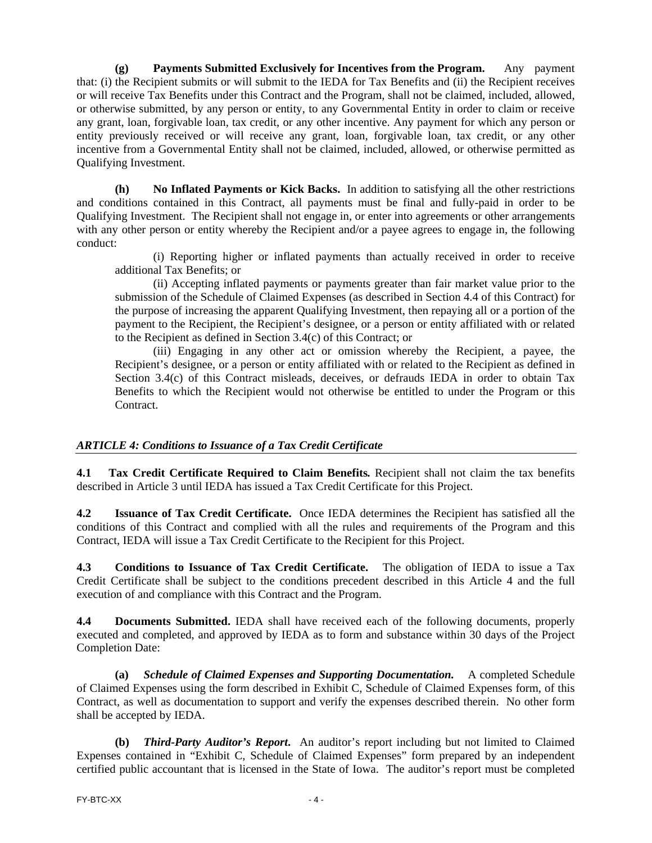**(g) Payments Submitted Exclusively for Incentives from the Program.** Any payment that: (i) the Recipient submits or will submit to the IEDA for Tax Benefits and (ii) the Recipient receives or will receive Tax Benefits under this Contract and the Program, shall not be claimed, included, allowed, or otherwise submitted, by any person or entity, to any Governmental Entity in order to claim or receive any grant, loan, forgivable loan, tax credit, or any other incentive. Any payment for which any person or entity previously received or will receive any grant, loan, forgivable loan, tax credit, or any other incentive from a Governmental Entity shall not be claimed, included, allowed, or otherwise permitted as Qualifying Investment.

**(h) No Inflated Payments or Kick Backs.** In addition to satisfying all the other restrictions and conditions contained in this Contract, all payments must be final and fully-paid in order to be Qualifying Investment. The Recipient shall not engage in, or enter into agreements or other arrangements with any other person or entity whereby the Recipient and/or a payee agrees to engage in, the following conduct:

(i) Reporting higher or inflated payments than actually received in order to receive additional Tax Benefits; or

(ii) Accepting inflated payments or payments greater than fair market value prior to the submission of the Schedule of Claimed Expenses (as described in Section 4.4 of this Contract) for the purpose of increasing the apparent Qualifying Investment, then repaying all or a portion of the payment to the Recipient, the Recipient's designee, or a person or entity affiliated with or related to the Recipient as defined in Section 3.4(c) of this Contract; or

(iii) Engaging in any other act or omission whereby the Recipient, a payee, the Recipient's designee, or a person or entity affiliated with or related to the Recipient as defined in Section 3.4(c) of this Contract misleads, deceives, or defrauds IEDA in order to obtain Tax Benefits to which the Recipient would not otherwise be entitled to under the Program or this Contract.

### *ARTICLE 4: Conditions to Issuance of a Tax Credit Certificate*

**4.1 Tax Credit Certificate Required to Claim Benefits***.* Recipient shall not claim the tax benefits described in Article 3 until IEDA has issued a Tax Credit Certificate for this Project.

**4.2 Issuance of Tax Credit Certificate.** Once IEDA determines the Recipient has satisfied all the conditions of this Contract and complied with all the rules and requirements of the Program and this Contract, IEDA will issue a Tax Credit Certificate to the Recipient for this Project.

**4.3 Conditions to Issuance of Tax Credit Certificate.** The obligation of IEDA to issue a Tax Credit Certificate shall be subject to the conditions precedent described in this Article 4 and the full execution of and compliance with this Contract and the Program.

**4.4 Documents Submitted.** IEDA shall have received each of the following documents, properly executed and completed, and approved by IEDA as to form and substance within 30 days of the Project Completion Date:

**(a)** *Schedule of Claimed Expenses and Supporting Documentation.* A completed Schedule of Claimed Expenses using the form described in Exhibit C, Schedule of Claimed Expenses form, of this Contract, as well as documentation to support and verify the expenses described therein. No other form shall be accepted by IEDA.

**(b)** *Third-Party Auditor's Report***.** An auditor's report including but not limited to Claimed Expenses contained in "Exhibit C, Schedule of Claimed Expenses" form prepared by an independent certified public accountant that is licensed in the State of Iowa. The auditor's report must be completed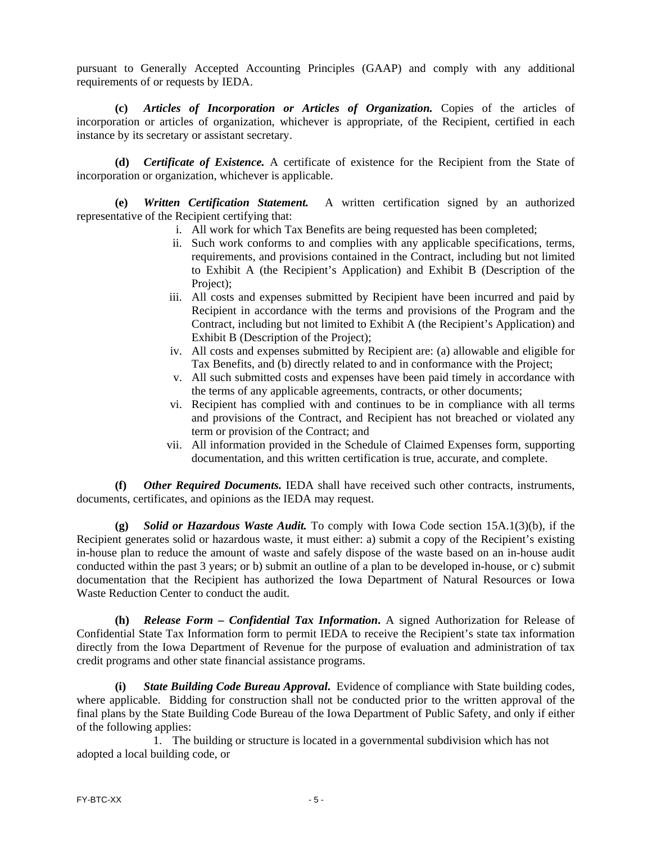pursuant to Generally Accepted Accounting Principles (GAAP) and comply with any additional requirements of or requests by IEDA.

**(c)** *Articles of Incorporation or Articles of Organization.* Copies of the articles of incorporation or articles of organization, whichever is appropriate, of the Recipient, certified in each instance by its secretary or assistant secretary.

**(d)** *Certificate of Existence.* A certificate of existence for the Recipient from the State of incorporation or organization, whichever is applicable.

**(e)** *Written Certification Statement.*A written certification signed by an authorized representative of the Recipient certifying that:

- i. All work for which Tax Benefits are being requested has been completed;
- ii. Such work conforms to and complies with any applicable specifications, terms, requirements, and provisions contained in the Contract, including but not limited to Exhibit A (the Recipient's Application) and Exhibit B (Description of the Project):
- iii. All costs and expenses submitted by Recipient have been incurred and paid by Recipient in accordance with the terms and provisions of the Program and the Contract, including but not limited to Exhibit A (the Recipient's Application) and Exhibit B (Description of the Project);
- iv. All costs and expenses submitted by Recipient are: (a) allowable and eligible for Tax Benefits, and (b) directly related to and in conformance with the Project;
- v. All such submitted costs and expenses have been paid timely in accordance with the terms of any applicable agreements, contracts, or other documents;
- vi. Recipient has complied with and continues to be in compliance with all terms and provisions of the Contract, and Recipient has not breached or violated any term or provision of the Contract; and
- vii. All information provided in the Schedule of Claimed Expenses form, supporting documentation, and this written certification is true, accurate, and complete.

**(f)** *Other Required Documents.* IEDA shall have received such other contracts, instruments, documents, certificates, and opinions as the IEDA may request.

**(g)** *Solid or Hazardous Waste Audit.* To comply with Iowa Code section 15A.1(3)(b), if the Recipient generates solid or hazardous waste, it must either: a) submit a copy of the Recipient's existing in-house plan to reduce the amount of waste and safely dispose of the waste based on an in-house audit conducted within the past 3 years; or b) submit an outline of a plan to be developed in-house, or c) submit documentation that the Recipient has authorized the Iowa Department of Natural Resources or Iowa Waste Reduction Center to conduct the audit.

**(h)** *Release Form – Confidential Tax Information***.** A signed Authorization for Release of Confidential State Tax Information form to permit IEDA to receive the Recipient's state tax information directly from the Iowa Department of Revenue for the purpose of evaluation and administration of tax credit programs and other state financial assistance programs.

**(i)** *State Building Code Bureau Approval***.** Evidence of compliance with State building codes, where applicable. Bidding for construction shall not be conducted prior to the written approval of the final plans by the State Building Code Bureau of the Iowa Department of Public Safety, and only if either of the following applies:

1. The building or structure is located in a governmental subdivision which has not adopted a local building code, or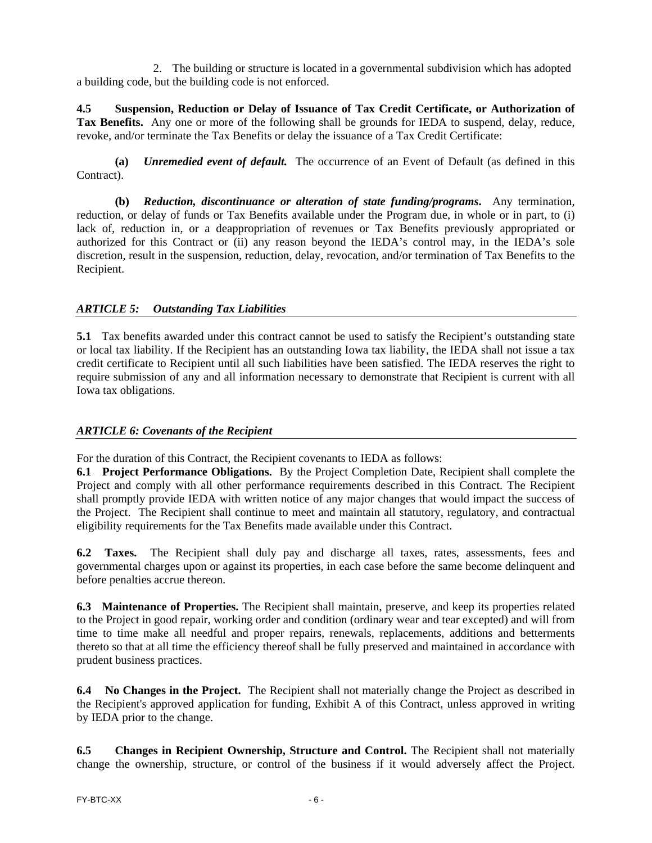2. The building or structure is located in a governmental subdivision which has adopted a building code, but the building code is not enforced.

**4.5 Suspension, Reduction or Delay of Issuance of Tax Credit Certificate, or Authorization of Tax Benefits.** Any one or more of the following shall be grounds for IEDA to suspend, delay, reduce, revoke, and/or terminate the Tax Benefits or delay the issuance of a Tax Credit Certificate:

**(a)** *Unremedied event of default.* The occurrence of an Event of Default (as defined in this Contract).

**(b)** *Reduction, discontinuance or alteration of state funding/programs***.** Any termination, reduction, or delay of funds or Tax Benefits available under the Program due, in whole or in part, to (i) lack of, reduction in, or a deappropriation of revenues or Tax Benefits previously appropriated or authorized for this Contract or (ii) any reason beyond the IEDA's control may, in the IEDA's sole discretion, result in the suspension, reduction, delay, revocation, and/or termination of Tax Benefits to the Recipient.

### *ARTICLE 5: Outstanding Tax Liabilities*

**5.1** Tax benefits awarded under this contract cannot be used to satisfy the Recipient's outstanding state or local tax liability. If the Recipient has an outstanding Iowa tax liability, the IEDA shall not issue a tax credit certificate to Recipient until all such liabilities have been satisfied. The IEDA reserves the right to require submission of any and all information necessary to demonstrate that Recipient is current with all Iowa tax obligations.

### *ARTICLE 6: Covenants of the Recipient*

For the duration of this Contract, the Recipient covenants to IEDA as follows:

**6.1 Project Performance Obligations.** By the Project Completion Date, Recipient shall complete the Project and comply with all other performance requirements described in this Contract. The Recipient shall promptly provide IEDA with written notice of any major changes that would impact the success of the Project. The Recipient shall continue to meet and maintain all statutory, regulatory, and contractual eligibility requirements for the Tax Benefits made available under this Contract.

**6.2 Taxes.** The Recipient shall duly pay and discharge all taxes, rates, assessments, fees and governmental charges upon or against its properties, in each case before the same become delinquent and before penalties accrue thereon.

**6.3 Maintenance of Properties.** The Recipient shall maintain, preserve, and keep its properties related to the Project in good repair, working order and condition (ordinary wear and tear excepted) and will from time to time make all needful and proper repairs, renewals, replacements, additions and betterments thereto so that at all time the efficiency thereof shall be fully preserved and maintained in accordance with prudent business practices.

**6.4 No Changes in the Project.** The Recipient shall not materially change the Project as described in the Recipient's approved application for funding, Exhibit A of this Contract, unless approved in writing by IEDA prior to the change.

**6.5 Changes in Recipient Ownership, Structure and Control.** The Recipient shall not materially change the ownership, structure, or control of the business if it would adversely affect the Project.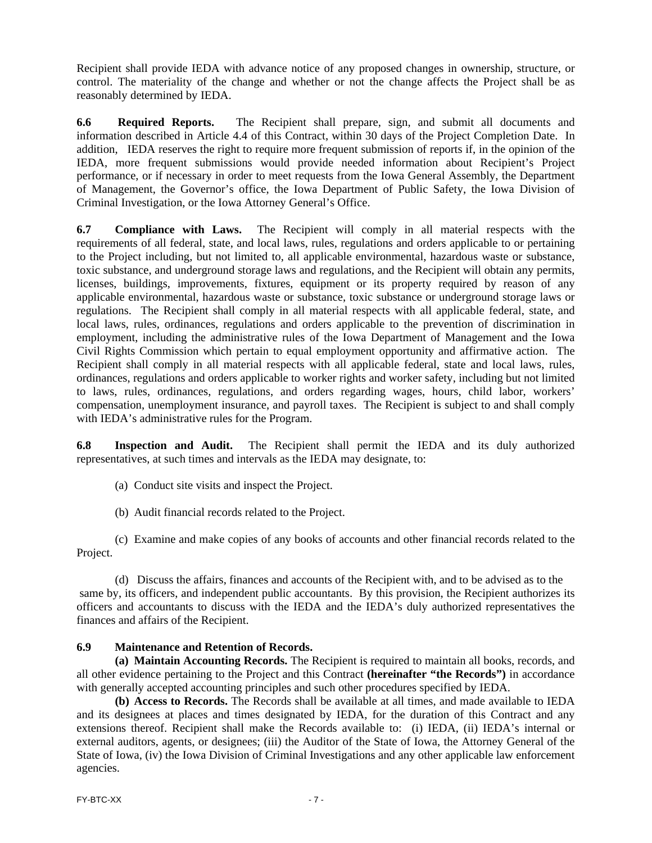Recipient shall provide IEDA with advance notice of any proposed changes in ownership, structure, or control. The materiality of the change and whether or not the change affects the Project shall be as reasonably determined by IEDA.

**6.6 Required Reports.** The Recipient shall prepare, sign, and submit all documents and information described in Article 4.4 of this Contract, within 30 days of the Project Completion Date. In addition, IEDA reserves the right to require more frequent submission of reports if, in the opinion of the IEDA, more frequent submissions would provide needed information about Recipient's Project performance, or if necessary in order to meet requests from the Iowa General Assembly, the Department of Management, the Governor's office, the Iowa Department of Public Safety, the Iowa Division of Criminal Investigation, or the Iowa Attorney General's Office.

**6.7 Compliance with Laws.** The Recipient will comply in all material respects with the requirements of all federal, state, and local laws, rules, regulations and orders applicable to or pertaining to the Project including, but not limited to, all applicable environmental, hazardous waste or substance, toxic substance, and underground storage laws and regulations, and the Recipient will obtain any permits, licenses, buildings, improvements, fixtures, equipment or its property required by reason of any applicable environmental, hazardous waste or substance, toxic substance or underground storage laws or regulations. The Recipient shall comply in all material respects with all applicable federal, state, and local laws, rules, ordinances, regulations and orders applicable to the prevention of discrimination in employment, including the administrative rules of the Iowa Department of Management and the Iowa Civil Rights Commission which pertain to equal employment opportunity and affirmative action. The Recipient shall comply in all material respects with all applicable federal, state and local laws, rules, ordinances, regulations and orders applicable to worker rights and worker safety, including but not limited to laws, rules, ordinances, regulations, and orders regarding wages, hours, child labor, workers' compensation, unemployment insurance, and payroll taxes. The Recipient is subject to and shall comply with IEDA's administrative rules for the Program.

**6.8 Inspection and Audit.** The Recipient shall permit the IEDA and its duly authorized representatives, at such times and intervals as the IEDA may designate, to:

- (a) Conduct site visits and inspect the Project.
- (b) Audit financial records related to the Project.

(c) Examine and make copies of any books of accounts and other financial records related to the Project.

(d) Discuss the affairs, finances and accounts of the Recipient with, and to be advised as to the same by, its officers, and independent public accountants. By this provision, the Recipient authorizes its officers and accountants to discuss with the IEDA and the IEDA's duly authorized representatives the finances and affairs of the Recipient.

### **6.9 Maintenance and Retention of Records.**

**(a) Maintain Accounting Records.** The Recipient is required to maintain all books, records, and all other evidence pertaining to the Project and this Contract **(hereinafter "the Records")** in accordance with generally accepted accounting principles and such other procedures specified by IEDA.

**(b) Access to Records.** The Records shall be available at all times, and made available to IEDA and its designees at places and times designated by IEDA, for the duration of this Contract and any extensions thereof. Recipient shall make the Records available to: (i) IEDA, (ii) IEDA's internal or external auditors, agents, or designees; (iii) the Auditor of the State of Iowa, the Attorney General of the State of Iowa, (iv) the Iowa Division of Criminal Investigations and any other applicable law enforcement agencies.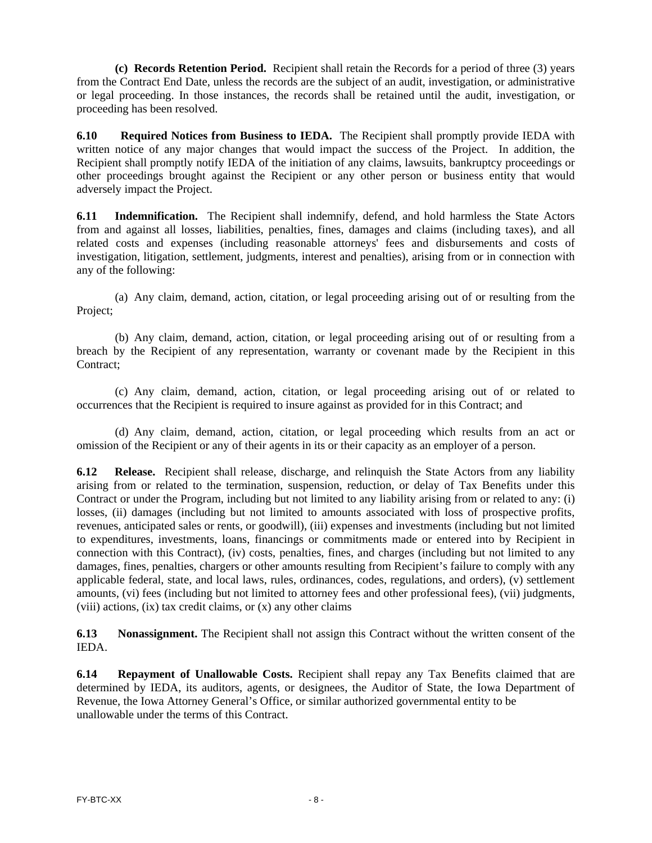**(c) Records Retention Period.** Recipient shall retain the Records for a period of three (3) years from the Contract End Date, unless the records are the subject of an audit, investigation, or administrative or legal proceeding. In those instances, the records shall be retained until the audit, investigation, or proceeding has been resolved.

**6.10 Required Notices from Business to IEDA.** The Recipient shall promptly provide IEDA with written notice of any major changes that would impact the success of the Project. In addition, the Recipient shall promptly notify IEDA of the initiation of any claims, lawsuits, bankruptcy proceedings or other proceedings brought against the Recipient or any other person or business entity that would adversely impact the Project.

**6.11 Indemnification.** The Recipient shall indemnify, defend, and hold harmless the State Actors from and against all losses, liabilities, penalties, fines, damages and claims (including taxes), and all related costs and expenses (including reasonable attorneys' fees and disbursements and costs of investigation, litigation, settlement, judgments, interest and penalties), arising from or in connection with any of the following:

(a) Any claim, demand, action, citation, or legal proceeding arising out of or resulting from the Project;

(b) Any claim, demand, action, citation, or legal proceeding arising out of or resulting from a breach by the Recipient of any representation, warranty or covenant made by the Recipient in this Contract;

(c) Any claim, demand, action, citation, or legal proceeding arising out of or related to occurrences that the Recipient is required to insure against as provided for in this Contract; and

(d) Any claim, demand, action, citation, or legal proceeding which results from an act or omission of the Recipient or any of their agents in its or their capacity as an employer of a person.

**6.12 Release.** Recipient shall release, discharge, and relinquish the State Actors from any liability arising from or related to the termination, suspension, reduction, or delay of Tax Benefits under this Contract or under the Program, including but not limited to any liability arising from or related to any: (i) losses, (ii) damages (including but not limited to amounts associated with loss of prospective profits, revenues, anticipated sales or rents, or goodwill), (iii) expenses and investments (including but not limited to expenditures, investments, loans, financings or commitments made or entered into by Recipient in connection with this Contract), (iv) costs, penalties, fines, and charges (including but not limited to any damages, fines, penalties, chargers or other amounts resulting from Recipient's failure to comply with any applicable federal, state, and local laws, rules, ordinances, codes, regulations, and orders), (v) settlement amounts, (vi) fees (including but not limited to attorney fees and other professional fees), (vii) judgments,  $(viii)$  actions,  $(ix)$  tax credit claims, or  $(x)$  any other claims

**6.13 Nonassignment.** The Recipient shall not assign this Contract without the written consent of the IEDA.

**6.14 Repayment of Unallowable Costs.** Recipient shall repay any Tax Benefits claimed that are determined by IEDA, its auditors, agents, or designees, the Auditor of State, the Iowa Department of Revenue, the Iowa Attorney General's Office, or similar authorized governmental entity to be unallowable under the terms of this Contract.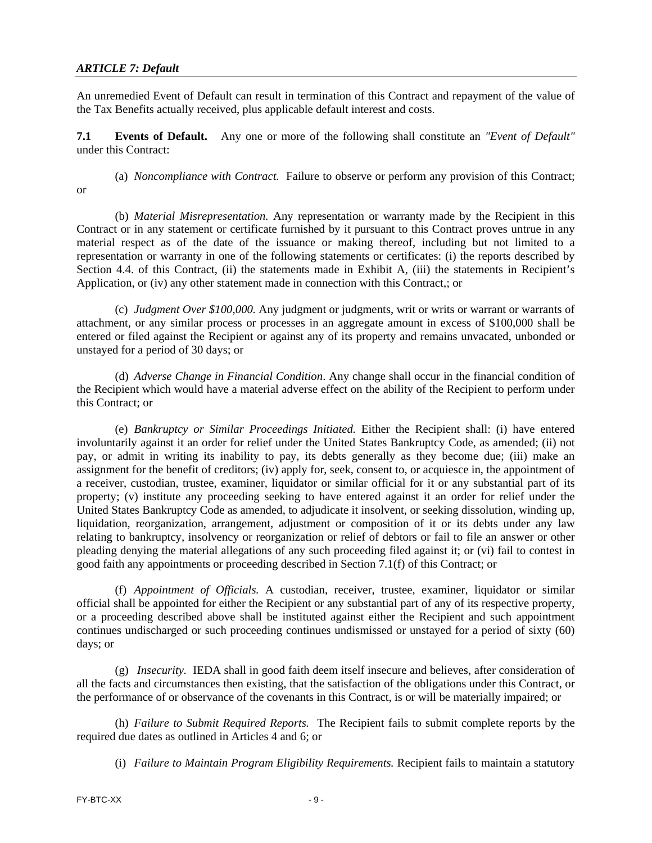#### *ARTICLE 7: Default*

An unremedied Event of Default can result in termination of this Contract and repayment of the value of the Tax Benefits actually received, plus applicable default interest and costs.

**7.1 Events of Default.** Any one or more of the following shall constitute an *"Event of Default"*  under this Contract:

(a) *Noncompliance with Contract.* Failure to observe or perform any provision of this Contract; or

(b) *Material Misrepresentation.* Any representation or warranty made by the Recipient in this Contract or in any statement or certificate furnished by it pursuant to this Contract proves untrue in any material respect as of the date of the issuance or making thereof, including but not limited to a representation or warranty in one of the following statements or certificates: (i) the reports described by Section 4.4. of this Contract, (ii) the statements made in Exhibit A, (iii) the statements in Recipient's Application, or (iv) any other statement made in connection with this Contract,; or

(c) *Judgment Over \$100,000.* Any judgment or judgments, writ or writs or warrant or warrants of attachment, or any similar process or processes in an aggregate amount in excess of \$100,000 shall be entered or filed against the Recipient or against any of its property and remains unvacated, unbonded or unstayed for a period of 30 days; or

(d) *Adverse Change in Financial Condition*. Any change shall occur in the financial condition of the Recipient which would have a material adverse effect on the ability of the Recipient to perform under this Contract; or

(e) *Bankruptcy or Similar Proceedings Initiated.* Either the Recipient shall: (i) have entered involuntarily against it an order for relief under the United States Bankruptcy Code, as amended; (ii) not pay, or admit in writing its inability to pay, its debts generally as they become due; (iii) make an assignment for the benefit of creditors; (iv) apply for, seek, consent to, or acquiesce in, the appointment of a receiver, custodian, trustee, examiner, liquidator or similar official for it or any substantial part of its property; (v) institute any proceeding seeking to have entered against it an order for relief under the United States Bankruptcy Code as amended, to adjudicate it insolvent, or seeking dissolution, winding up, liquidation, reorganization, arrangement, adjustment or composition of it or its debts under any law relating to bankruptcy, insolvency or reorganization or relief of debtors or fail to file an answer or other pleading denying the material allegations of any such proceeding filed against it; or (vi) fail to contest in good faith any appointments or proceeding described in Section 7.1(f) of this Contract; or

(f) *Appointment of Officials.* A custodian, receiver, trustee, examiner, liquidator or similar official shall be appointed for either the Recipient or any substantial part of any of its respective property, or a proceeding described above shall be instituted against either the Recipient and such appointment continues undischarged or such proceeding continues undismissed or unstayed for a period of sixty (60) days; or

(g) *Insecurity.* IEDA shall in good faith deem itself insecure and believes, after consideration of all the facts and circumstances then existing, that the satisfaction of the obligations under this Contract, or the performance of or observance of the covenants in this Contract, is or will be materially impaired; or

(h) *Failure to Submit Required Reports.* The Recipient fails to submit complete reports by the required due dates as outlined in Articles 4 and 6; or

(i) *Failure to Maintain Program Eligibility Requirements.* Recipient fails to maintain a statutory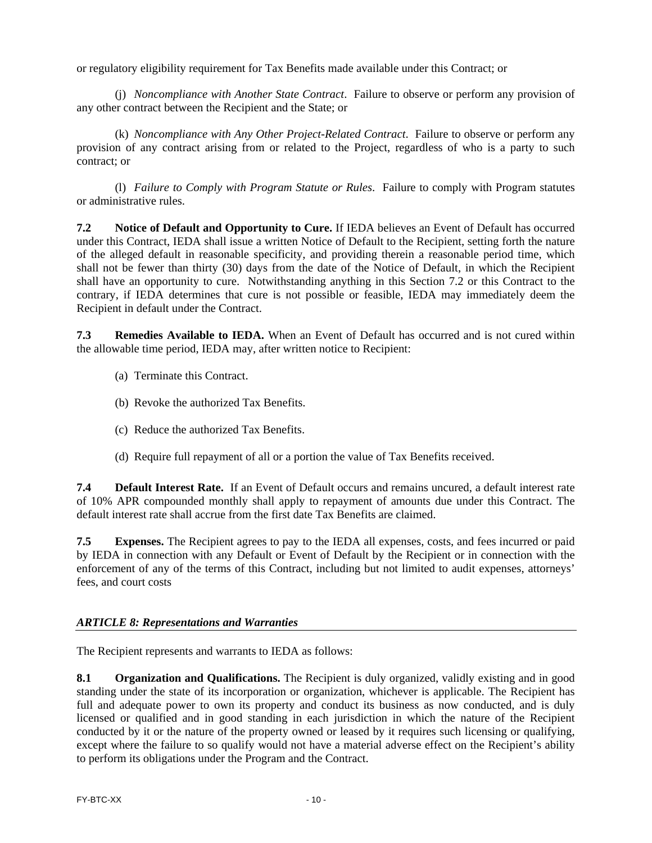or regulatory eligibility requirement for Tax Benefits made available under this Contract; or

(j) *Noncompliance with Another State Contract*. Failure to observe or perform any provision of any other contract between the Recipient and the State; or

(k) *Noncompliance with Any Other Project-Related Contract*. Failure to observe or perform any provision of any contract arising from or related to the Project, regardless of who is a party to such contract; or

(l) *Failure to Comply with Program Statute or Rules*. Failure to comply with Program statutes or administrative rules.

**7.2 Notice of Default and Opportunity to Cure.** If IEDA believes an Event of Default has occurred under this Contract, IEDA shall issue a written Notice of Default to the Recipient, setting forth the nature of the alleged default in reasonable specificity, and providing therein a reasonable period time, which shall not be fewer than thirty (30) days from the date of the Notice of Default, in which the Recipient shall have an opportunity to cure. Notwithstanding anything in this Section 7.2 or this Contract to the contrary, if IEDA determines that cure is not possible or feasible, IEDA may immediately deem the Recipient in default under the Contract.

**7.3 Remedies Available to IEDA.** When an Event of Default has occurred and is not cured within the allowable time period, IEDA may, after written notice to Recipient:

- (a) Terminate this Contract.
- (b) Revoke the authorized Tax Benefits.
- (c) Reduce the authorized Tax Benefits.
- (d) Require full repayment of all or a portion the value of Tax Benefits received.

**7.4 Default Interest Rate.** If an Event of Default occurs and remains uncured, a default interest rate of 10% APR compounded monthly shall apply to repayment of amounts due under this Contract. The default interest rate shall accrue from the first date Tax Benefits are claimed.

**7.5 Expenses.** The Recipient agrees to pay to the IEDA all expenses, costs, and fees incurred or paid by IEDA in connection with any Default or Event of Default by the Recipient or in connection with the enforcement of any of the terms of this Contract, including but not limited to audit expenses, attorneys' fees, and court costs

#### *ARTICLE 8: Representations and Warranties*

The Recipient represents and warrants to IEDA as follows:

**8.1 Organization and Qualifications.** The Recipient is duly organized, validly existing and in good standing under the state of its incorporation or organization, whichever is applicable. The Recipient has full and adequate power to own its property and conduct its business as now conducted, and is duly licensed or qualified and in good standing in each jurisdiction in which the nature of the Recipient conducted by it or the nature of the property owned or leased by it requires such licensing or qualifying, except where the failure to so qualify would not have a material adverse effect on the Recipient's ability to perform its obligations under the Program and the Contract.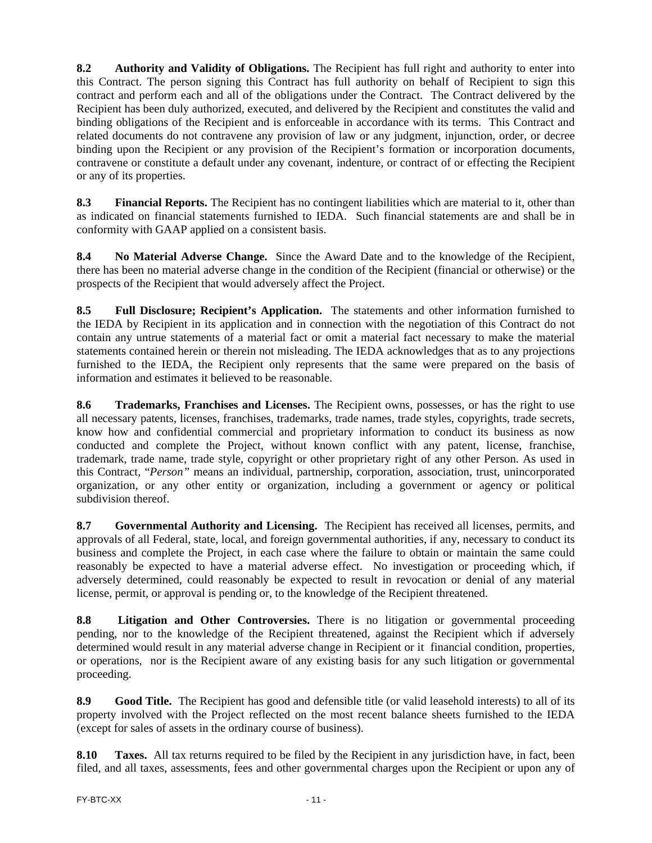**8.2 Authority and Validity of Obligations.** The Recipient has full right and authority to enter into this Contract. The person signing this Contract has full authority on behalf of Recipient to sign this contract and perform each and all of the obligations under the Contract. The Contract delivered by the Recipient has been duly authorized, executed, and delivered by the Recipient and constitutes the valid and binding obligations of the Recipient and is enforceable in accordance with its terms. This Contract and related documents do not contravene any provision of law or any judgment, injunction, order, or decree binding upon the Recipient or any provision of the Recipient's formation or incorporation documents, contravene or constitute a default under any covenant, indenture, or contract of or effecting the Recipient or any of its properties.

**8.3 Financial Reports.** The Recipient has no contingent liabilities which are material to it, other than as indicated on financial statements furnished to IEDA. Such financial statements are and shall be in conformity with GAAP applied on a consistent basis.

**8.4 No Material Adverse Change.** Since the Award Date and to the knowledge of the Recipient, there has been no material adverse change in the condition of the Recipient (financial or otherwise) or the prospects of the Recipient that would adversely affect the Project.

**8.5 Full Disclosure; Recipient's Application.** The statements and other information furnished to the IEDA by Recipient in its application and in connection with the negotiation of this Contract do not contain any untrue statements of a material fact or omit a material fact necessary to make the material statements contained herein or therein not misleading. The IEDA acknowledges that as to any projections furnished to the IEDA, the Recipient only represents that the same were prepared on the basis of information and estimates it believed to be reasonable.

**8.6 Trademarks, Franchises and Licenses.** The Recipient owns, possesses, or has the right to use all necessary patents, licenses, franchises, trademarks, trade names, trade styles, copyrights, trade secrets, know how and confidential commercial and proprietary information to conduct its business as now conducted and complete the Project, without known conflict with any patent, license, franchise, trademark, trade name, trade style, copyright or other proprietary right of any other Person. As used in this Contract, "*Person"* means an individual, partnership, corporation, association, trust, unincorporated organization, or any other entity or organization, including a government or agency or political subdivision thereof.

**8.7 Governmental Authority and Licensing.** The Recipient has received all licenses, permits, and approvals of all Federal, state, local, and foreign governmental authorities, if any, necessary to conduct its business and complete the Project, in each case where the failure to obtain or maintain the same could reasonably be expected to have a material adverse effect. No investigation or proceeding which, if adversely determined, could reasonably be expected to result in revocation or denial of any material license, permit, or approval is pending or, to the knowledge of the Recipient threatened.

**8.8 Litigation and Other Controversies.** There is no litigation or governmental proceeding pending, nor to the knowledge of the Recipient threatened, against the Recipient which if adversely determined would result in any material adverse change in Recipient or it financial condition, properties, or operations, nor is the Recipient aware of any existing basis for any such litigation or governmental proceeding.

**8.9 Good Title.** The Recipient has good and defensible title (or valid leasehold interests) to all of its property involved with the Project reflected on the most recent balance sheets furnished to the IEDA (except for sales of assets in the ordinary course of business).

**8.10 Taxes.** All tax returns required to be filed by the Recipient in any jurisdiction have, in fact, been filed, and all taxes, assessments, fees and other governmental charges upon the Recipient or upon any of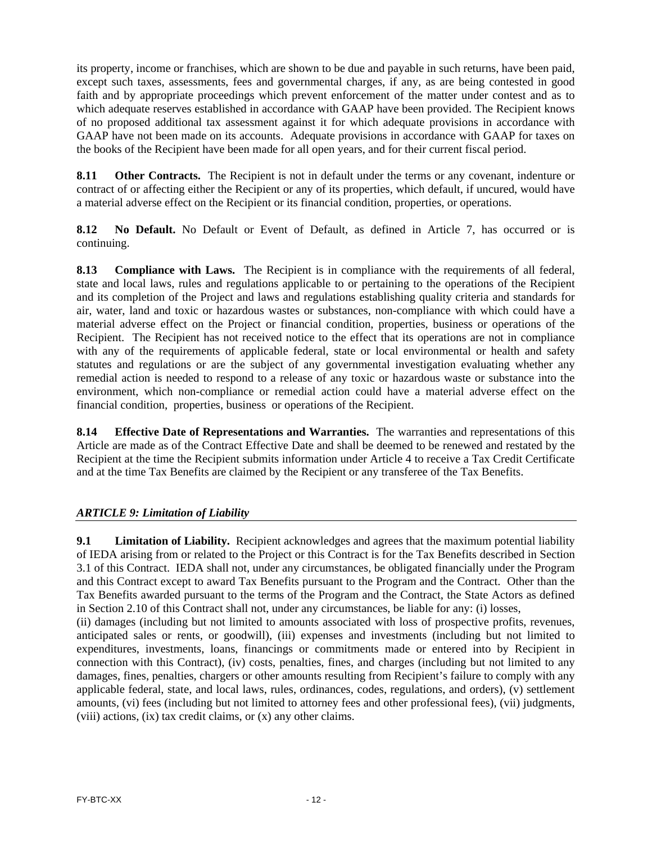its property, income or franchises, which are shown to be due and payable in such returns, have been paid, except such taxes, assessments, fees and governmental charges, if any, as are being contested in good faith and by appropriate proceedings which prevent enforcement of the matter under contest and as to which adequate reserves established in accordance with GAAP have been provided. The Recipient knows of no proposed additional tax assessment against it for which adequate provisions in accordance with GAAP have not been made on its accounts. Adequate provisions in accordance with GAAP for taxes on the books of the Recipient have been made for all open years, and for their current fiscal period.

**8.11 Other Contracts.** The Recipient is not in default under the terms or any covenant, indenture or contract of or affecting either the Recipient or any of its properties, which default, if uncured, would have a material adverse effect on the Recipient or its financial condition, properties, or operations.

**8.12 No Default.** No Default or Event of Default, as defined in Article 7, has occurred or is continuing.

**8.13 Compliance with Laws.** The Recipient is in compliance with the requirements of all federal, state and local laws, rules and regulations applicable to or pertaining to the operations of the Recipient and its completion of the Project and laws and regulations establishing quality criteria and standards for air, water, land and toxic or hazardous wastes or substances, non-compliance with which could have a material adverse effect on the Project or financial condition, properties, business or operations of the Recipient. The Recipient has not received notice to the effect that its operations are not in compliance with any of the requirements of applicable federal, state or local environmental or health and safety statutes and regulations or are the subject of any governmental investigation evaluating whether any remedial action is needed to respond to a release of any toxic or hazardous waste or substance into the environment, which non-compliance or remedial action could have a material adverse effect on the financial condition, properties, business or operations of the Recipient.

**8.14 Effective Date of Representations and Warranties.** The warranties and representations of this Article are made as of the Contract Effective Date and shall be deemed to be renewed and restated by the Recipient at the time the Recipient submits information under Article 4 to receive a Tax Credit Certificate and at the time Tax Benefits are claimed by the Recipient or any transferee of the Tax Benefits.

### *ARTICLE 9: Limitation of Liability*

**9.1** Limitation of Liability. Recipient acknowledges and agrees that the maximum potential liability of IEDA arising from or related to the Project or this Contract is for the Tax Benefits described in Section 3.1 of this Contract. IEDA shall not, under any circumstances, be obligated financially under the Program and this Contract except to award Tax Benefits pursuant to the Program and the Contract. Other than the Tax Benefits awarded pursuant to the terms of the Program and the Contract, the State Actors as defined in Section 2.10 of this Contract shall not, under any circumstances, be liable for any: (i) losses,

(ii) damages (including but not limited to amounts associated with loss of prospective profits, revenues, anticipated sales or rents, or goodwill), (iii) expenses and investments (including but not limited to expenditures, investments, loans, financings or commitments made or entered into by Recipient in connection with this Contract), (iv) costs, penalties, fines, and charges (including but not limited to any damages, fines, penalties, chargers or other amounts resulting from Recipient's failure to comply with any applicable federal, state, and local laws, rules, ordinances, codes, regulations, and orders), (v) settlement amounts, (vi) fees (including but not limited to attorney fees and other professional fees), (vii) judgments, (viii) actions, (ix) tax credit claims, or (x) any other claims.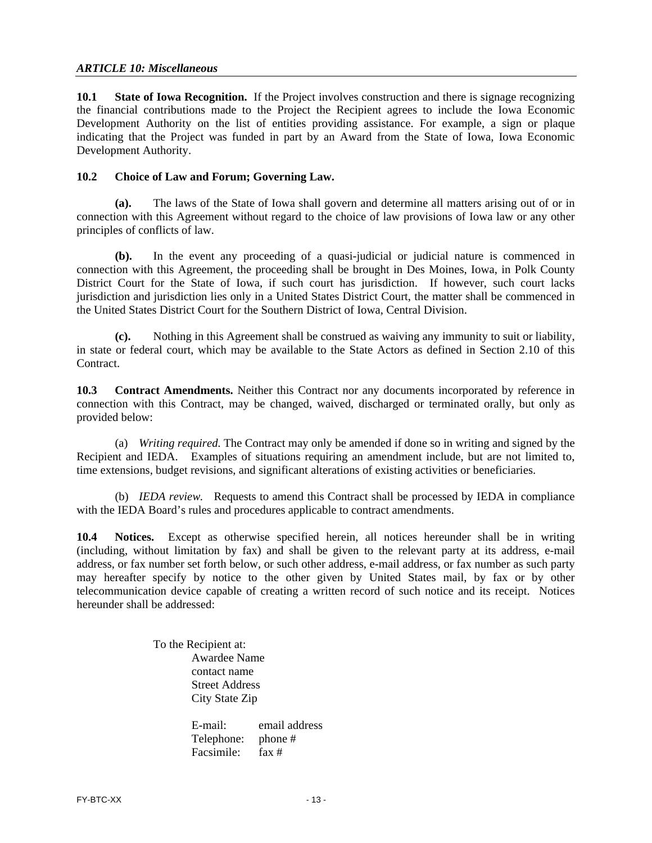#### *ARTICLE 10: Miscellaneous*

**10.1 State of Iowa Recognition.** If the Project involves construction and there is signage recognizing the financial contributions made to the Project the Recipient agrees to include the Iowa Economic Development Authority on the list of entities providing assistance. For example, a sign or plaque indicating that the Project was funded in part by an Award from the State of Iowa, Iowa Economic Development Authority.

#### **10.2 Choice of Law and Forum; Governing Law.**

**(a).** The laws of the State of Iowa shall govern and determine all matters arising out of or in connection with this Agreement without regard to the choice of law provisions of Iowa law or any other principles of conflicts of law.

**(b).** In the event any proceeding of a quasi-judicial or judicial nature is commenced in connection with this Agreement, the proceeding shall be brought in Des Moines, Iowa, in Polk County District Court for the State of Iowa, if such court has jurisdiction. If however, such court lacks jurisdiction and jurisdiction lies only in a United States District Court, the matter shall be commenced in the United States District Court for the Southern District of Iowa, Central Division.

**(c).** Nothing in this Agreement shall be construed as waiving any immunity to suit or liability, in state or federal court, which may be available to the State Actors as defined in Section 2.10 of this Contract.

**10.3 Contract Amendments.** Neither this Contract nor any documents incorporated by reference in connection with this Contract, may be changed, waived, discharged or terminated orally, but only as provided below:

(a) *Writing required.* The Contract may only be amended if done so in writing and signed by the Recipient and IEDA. Examples of situations requiring an amendment include, but are not limited to, time extensions, budget revisions, and significant alterations of existing activities or beneficiaries.

(b) *IEDA review.* Requests to amend this Contract shall be processed by IEDA in compliance with the IEDA Board's rules and procedures applicable to contract amendments.

**10.4 Notices.** Except as otherwise specified herein, all notices hereunder shall be in writing (including, without limitation by fax) and shall be given to the relevant party at its address, e-mail address, or fax number set forth below, or such other address, e-mail address, or fax number as such party may hereafter specify by notice to the other given by United States mail, by fax or by other telecommunication device capable of creating a written record of such notice and its receipt. Notices hereunder shall be addressed:

> To the Recipient at: Awardee Name contact name Street Address City State Zip

E-mail: email address Telephone: phone # Facsimile: fax #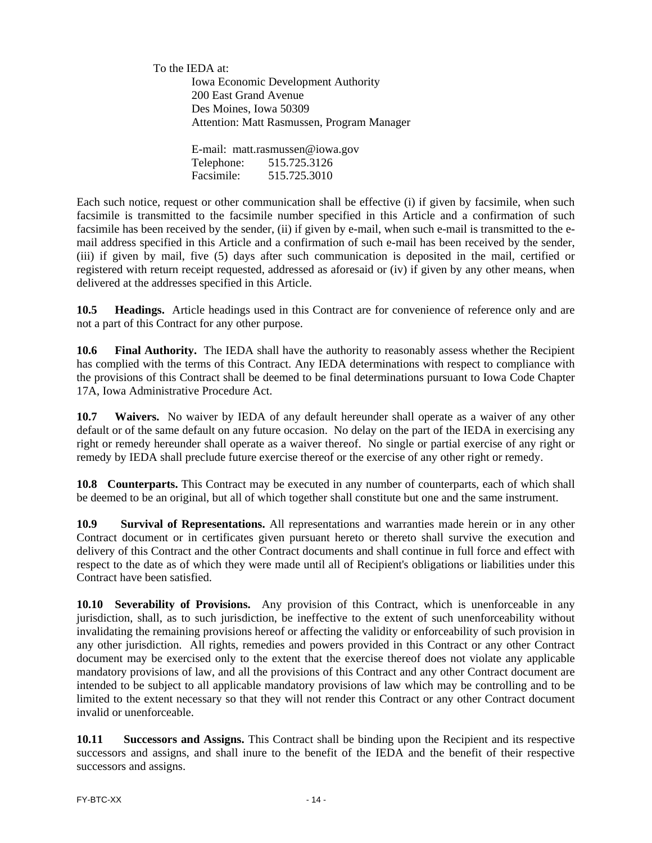To the IEDA at: Iowa Economic Development Authority 200 East Grand Avenue Des Moines, Iowa 50309 Attention: Matt Rasmussen, Program Manager

> E-mail: matt.rasmussen@iowa.gov Telephone: 515.725.3126 Facsimile: 515.725.3010

Each such notice, request or other communication shall be effective (i) if given by facsimile, when such facsimile is transmitted to the facsimile number specified in this Article and a confirmation of such facsimile has been received by the sender, (ii) if given by e-mail, when such e-mail is transmitted to the email address specified in this Article and a confirmation of such e-mail has been received by the sender, (iii) if given by mail, five (5) days after such communication is deposited in the mail, certified or registered with return receipt requested, addressed as aforesaid or (iv) if given by any other means, when delivered at the addresses specified in this Article.

**10.5 Headings.** Article headings used in this Contract are for convenience of reference only and are not a part of this Contract for any other purpose.

**10.6 Final Authority.** The IEDA shall have the authority to reasonably assess whether the Recipient has complied with the terms of this Contract. Any IEDA determinations with respect to compliance with the provisions of this Contract shall be deemed to be final determinations pursuant to Iowa Code Chapter 17A, Iowa Administrative Procedure Act.

**10.7 Waivers.** No waiver by IEDA of any default hereunder shall operate as a waiver of any other default or of the same default on any future occasion. No delay on the part of the IEDA in exercising any right or remedy hereunder shall operate as a waiver thereof. No single or partial exercise of any right or remedy by IEDA shall preclude future exercise thereof or the exercise of any other right or remedy.

**10.8 Counterparts.** This Contract may be executed in any number of counterparts, each of which shall be deemed to be an original, but all of which together shall constitute but one and the same instrument.

**10.9 Survival of Representations.** All representations and warranties made herein or in any other Contract document or in certificates given pursuant hereto or thereto shall survive the execution and delivery of this Contract and the other Contract documents and shall continue in full force and effect with respect to the date as of which they were made until all of Recipient's obligations or liabilities under this Contract have been satisfied.

**10.10 Severability of Provisions.** Any provision of this Contract, which is unenforceable in any jurisdiction, shall, as to such jurisdiction, be ineffective to the extent of such unenforceability without invalidating the remaining provisions hereof or affecting the validity or enforceability of such provision in any other jurisdiction. All rights, remedies and powers provided in this Contract or any other Contract document may be exercised only to the extent that the exercise thereof does not violate any applicable mandatory provisions of law, and all the provisions of this Contract and any other Contract document are intended to be subject to all applicable mandatory provisions of law which may be controlling and to be limited to the extent necessary so that they will not render this Contract or any other Contract document invalid or unenforceable.

**10.11 Successors and Assigns.** This Contract shall be binding upon the Recipient and its respective successors and assigns, and shall inure to the benefit of the IEDA and the benefit of their respective successors and assigns.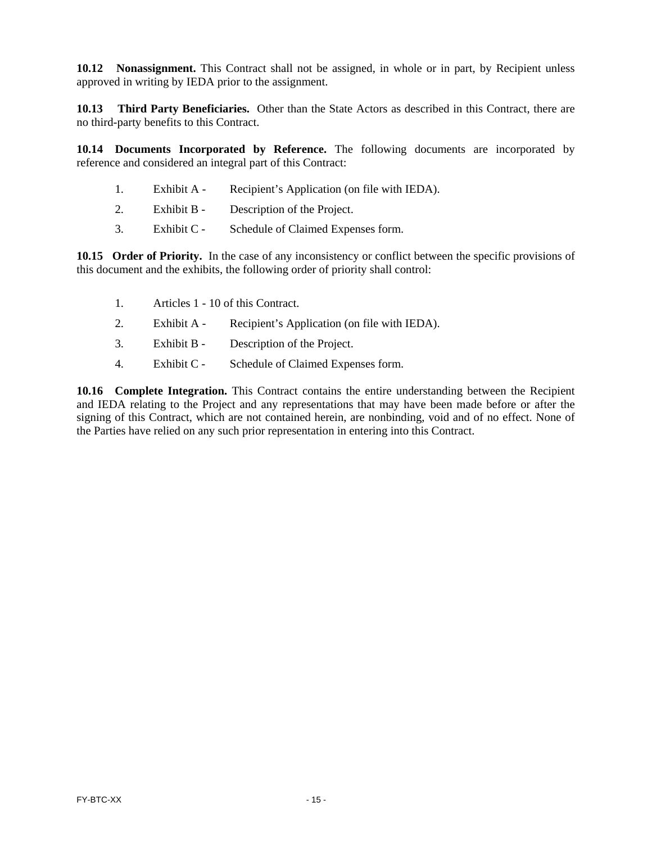**10.12 Nonassignment.** This Contract shall not be assigned, in whole or in part, by Recipient unless approved in writing by IEDA prior to the assignment.

**10.13 Third Party Beneficiaries.** Other than the State Actors as described in this Contract, there are no third-party benefits to this Contract.

**10.14 Documents Incorporated by Reference.** The following documents are incorporated by reference and considered an integral part of this Contract:

- 1. Exhibit A Recipient's Application (on file with IEDA).
- 2. Exhibit B Description of the Project.
- 3. Exhibit C Schedule of Claimed Expenses form.

**10.15 Order of Priority.** In the case of any inconsistency or conflict between the specific provisions of this document and the exhibits, the following order of priority shall control:

- 1. Articles 1 10 of this Contract.
- 2. Exhibit A Recipient's Application (on file with IEDA).
- 3. Exhibit B Description of the Project.
- 4. Exhibit C Schedule of Claimed Expenses form.

**10.16 Complete Integration.** This Contract contains the entire understanding between the Recipient and IEDA relating to the Project and any representations that may have been made before or after the signing of this Contract, which are not contained herein, are nonbinding, void and of no effect. None of the Parties have relied on any such prior representation in entering into this Contract.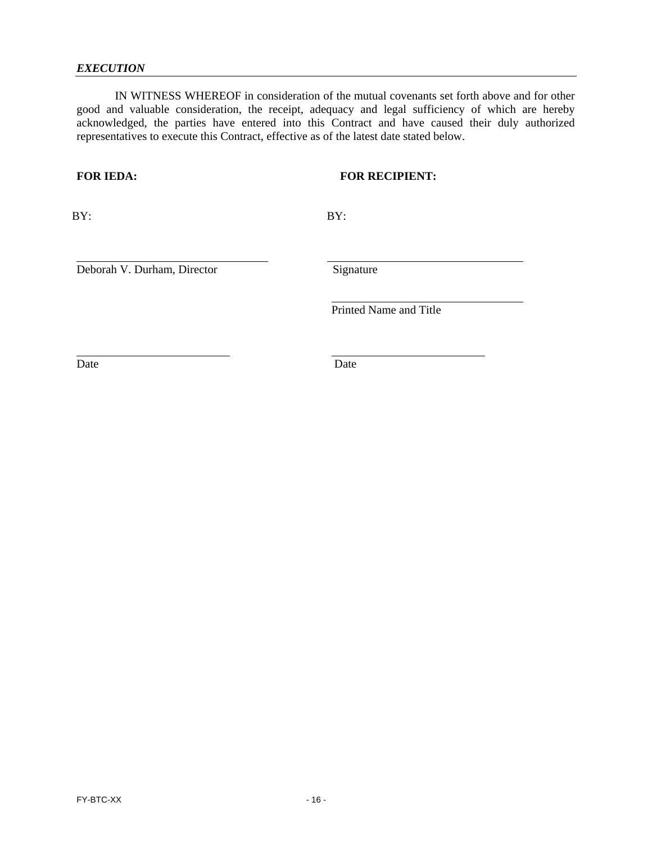#### *EXECUTION*

 IN WITNESS WHEREOF in consideration of the mutual covenants set forth above and for other good and valuable consideration, the receipt, adequacy and legal sufficiency of which are hereby acknowledged, the parties have entered into this Contract and have caused their duly authorized representatives to execute this Contract, effective as of the latest date stated below.

### **FOR IEDA: FOR RECIPIENT:**

BY:

 $\overline{a}$ 

BY:

 $\overline{a}$ 

l

l

Deborah V. Durham, Director

Signature

Printed Name and Title

Date

l

Date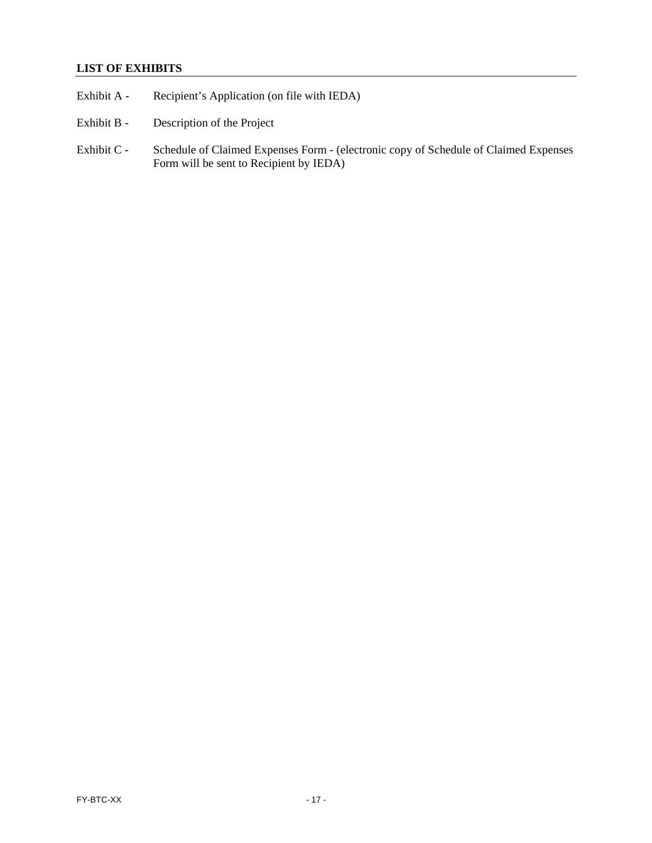# **LIST OF EXHIBITS**

- Exhibit A Recipient's Application (on file with IEDA)
- Exhibit B Description of the Project
- Exhibit C Schedule of Claimed Expenses Form (electronic copy of Schedule of Claimed Expenses Form will be sent to Recipient by IEDA)